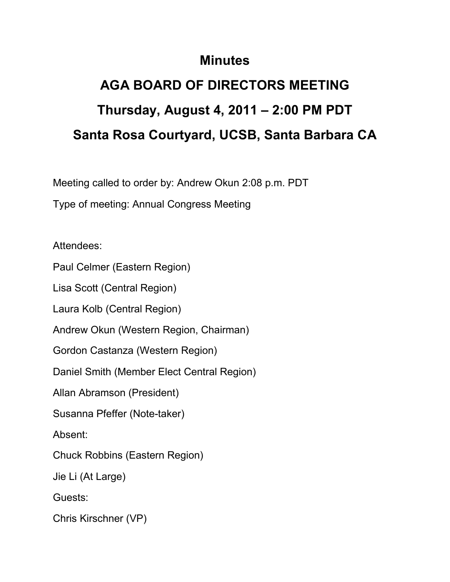## **Minutes**

## **AGA BOARD OF DIRECTORS MEETING Thursday, August 4, 2011 – 2:00 PM PDT Santa Rosa Courtyard, UCSB, Santa Barbara CA**

Meeting called to order by: Andrew Okun 2:08 p.m. PDT

Type of meeting: Annual Congress Meeting

Attendees:

Paul Celmer (Eastern Region)

Lisa Scott (Central Region)

Laura Kolb (Central Region)

Andrew Okun (Western Region, Chairman)

Gordon Castanza (Western Region)

Daniel Smith (Member Elect Central Region)

Allan Abramson (President)

Susanna Pfeffer (Note-taker)

Absent:

Chuck Robbins (Eastern Region)

Jie Li (At Large)

Guests:

Chris Kirschner (VP)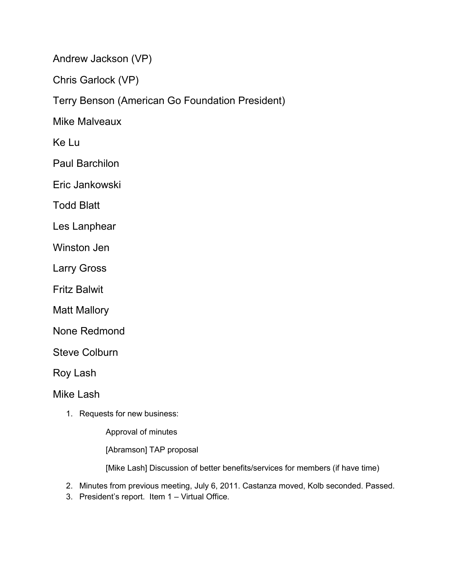Andrew Jackson (VP)

Chris Garlock (VP)

Terry Benson (American Go Foundation President)

Mike Malveaux

Ke Lu

Paul Barchilon

Eric Jankowski

Todd Blatt

Les Lanphear

Winston Jen

Larry Gross

Fritz Balwit

Matt Mallory

None Redmond

Steve Colburn

Roy Lash

Mike Lash

1. Requests for new business:

Approval of minutes

[Abramson] TAP proposal

[Mike Lash] Discussion of better benefits/services for members (if have time)

2. Minutes from previous meeting, July 6, 2011. Castanza moved, Kolb seconded. Passed.

3. President's report. Item 1 – Virtual Office.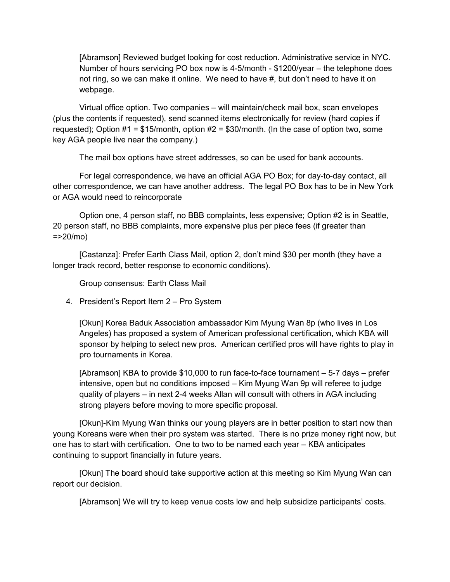[Abramson] Reviewed budget looking for cost reduction. Administrative service in NYC. Number of hours servicing PO box now is 4-5/month - \$1200/year – the telephone does not ring, so we can make it online. We need to have #, but don't need to have it on webpage.

 Virtual office option. Two companies – will maintain/check mail box, scan envelopes (plus the contents if requested), send scanned items electronically for review (hard copies if requested); Option  $#1 = $15/m$  onth, option  $#2 = $30/m$  onth. (In the case of option two, some key AGA people live near the company.)

The mail box options have street addresses, so can be used for bank accounts.

 For legal correspondence, we have an official AGA PO Box; for day-to-day contact, all other correspondence, we can have another address. The legal PO Box has to be in New York or AGA would need to reincorporate

 Option one, 4 person staff, no BBB complaints, less expensive; Option #2 is in Seattle, 20 person staff, no BBB complaints, more expensive plus per piece fees (if greater than  $=20/mol$ 

 [Castanza]: Prefer Earth Class Mail, option 2, don't mind \$30 per month (they have a longer track record, better response to economic conditions).

Group consensus: Earth Class Mail

4. President's Report Item 2 – Pro System

[Okun] Korea Baduk Association ambassador Kim Myung Wan 8p (who lives in Los Angeles) has proposed a system of American professional certification, which KBA will sponsor by helping to select new pros. American certified pros will have rights to play in pro tournaments in Korea.

[Abramson] KBA to provide \$10,000 to run face-to-face tournament – 5-7 days – prefer intensive, open but no conditions imposed – Kim Myung Wan 9p will referee to judge quality of players – in next 2-4 weeks Allan will consult with others in AGA including strong players before moving to more specific proposal.

 [Okun]-Kim Myung Wan thinks our young players are in better position to start now than young Koreans were when their pro system was started. There is no prize money right now, but one has to start with certification. One to two to be named each year – KBA anticipates continuing to support financially in future years.

 [Okun] The board should take supportive action at this meeting so Kim Myung Wan can report our decision.

[Abramson] We will try to keep venue costs low and help subsidize participants' costs.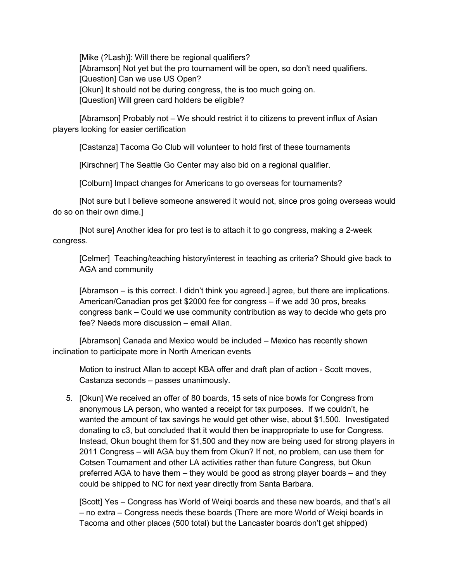[Mike (?Lash)]: Will there be regional qualifiers? [Abramson] Not yet but the pro tournament will be open, so don't need qualifiers. [Question] Can we use US Open? [Okun] It should not be during congress, the is too much going on. [Question] Will green card holders be eligible?

[Abramson] Probably not – We should restrict it to citizens to prevent influx of Asian players looking for easier certification

[Castanza] Tacoma Go Club will volunteer to hold first of these tournaments

[Kirschner] The Seattle Go Center may also bid on a regional qualifier.

[Colburn] Impact changes for Americans to go overseas for tournaments?

 [Not sure but I believe someone answered it would not, since pros going overseas would do so on their own dime.]

 [Not sure] Another idea for pro test is to attach it to go congress, making a 2-week congress.

[Celmer] Teaching/teaching history/interest in teaching as criteria? Should give back to AGA and community

[Abramson – is this correct. I didn't think you agreed.] agree, but there are implications. American/Canadian pros get \$2000 fee for congress – if we add 30 pros, breaks congress bank – Could we use community contribution as way to decide who gets pro fee? Needs more discussion – email Allan.

 [Abramson] Canada and Mexico would be included – Mexico has recently shown inclination to participate more in North American events

Motion to instruct Allan to accept KBA offer and draft plan of action - Scott moves, Castanza seconds – passes unanimously.

5. [Okun] We received an offer of 80 boards, 15 sets of nice bowls for Congress from anonymous LA person, who wanted a receipt for tax purposes. If we couldn't, he wanted the amount of tax savings he would get other wise, about \$1,500. Investigated donating to c3, but concluded that it would then be inappropriate to use for Congress. Instead, Okun bought them for \$1,500 and they now are being used for strong players in 2011 Congress – will AGA buy them from Okun? If not, no problem, can use them for Cotsen Tournament and other LA activities rather than future Congress, but Okun preferred AGA to have them – they would be good as strong player boards – and they could be shipped to NC for next year directly from Santa Barbara.

[Scott] Yes – Congress has World of Weiqi boards and these new boards, and that's all – no extra – Congress needs these boards (There are more World of Weiqi boards in Tacoma and other places (500 total) but the Lancaster boards don't get shipped)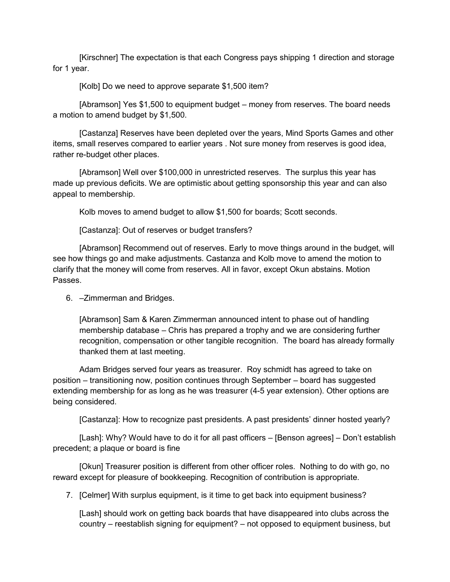[Kirschner] The expectation is that each Congress pays shipping 1 direction and storage for 1 year.

[Kolb] Do we need to approve separate \$1,500 item?

[Abramson] Yes \$1,500 to equipment budget – money from reserves. The board needs a motion to amend budget by \$1,500.

 [Castanza] Reserves have been depleted over the years, Mind Sports Games and other items, small reserves compared to earlier years . Not sure money from reserves is good idea, rather re-budget other places.

[Abramson] Well over \$100,000 in unrestricted reserves. The surplus this year has made up previous deficits. We are optimistic about getting sponsorship this year and can also appeal to membership.

Kolb moves to amend budget to allow \$1,500 for boards; Scott seconds.

[Castanza]: Out of reserves or budget transfers?

[Abramson] Recommend out of reserves. Early to move things around in the budget, will see how things go and make adjustments. Castanza and Kolb move to amend the motion to clarify that the money will come from reserves. All in favor, except Okun abstains. Motion Passes.

6. –Zimmerman and Bridges.

[Abramson] Sam & Karen Zimmerman announced intent to phase out of handling membership database – Chris has prepared a trophy and we are considering further recognition, compensation or other tangible recognition. The board has already formally thanked them at last meeting.

 Adam Bridges served four years as treasurer. Roy schmidt has agreed to take on position – transitioning now, position continues through September – board has suggested extending membership for as long as he was treasurer (4-5 year extension). Other options are being considered.

[Castanza]: How to recognize past presidents. A past presidents' dinner hosted yearly?

 [Lash]: Why? Would have to do it for all past officers – [Benson agrees] – Don't establish precedent; a plaque or board is fine

 [Okun] Treasurer position is different from other officer roles. Nothing to do with go, no reward except for pleasure of bookkeeping. Recognition of contribution is appropriate.

7. [Celmer] With surplus equipment, is it time to get back into equipment business?

[Lash] should work on getting back boards that have disappeared into clubs across the country – reestablish signing for equipment? – not opposed to equipment business, but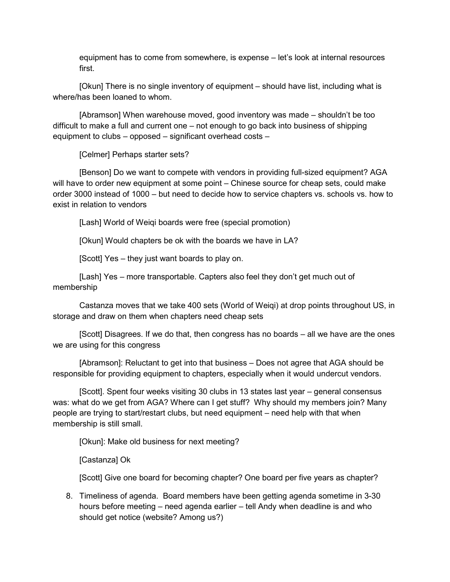equipment has to come from somewhere, is expense – let's look at internal resources first.

 [Okun] There is no single inventory of equipment – should have list, including what is where/has been loaned to whom.

[Abramson] When warehouse moved, good inventory was made – shouldn't be too difficult to make a full and current one – not enough to go back into business of shipping equipment to clubs – opposed – significant overhead costs –

[Celmer] Perhaps starter sets?

[Benson] Do we want to compete with vendors in providing full-sized equipment? AGA will have to order new equipment at some point – Chinese source for cheap sets, could make order 3000 instead of 1000 – but need to decide how to service chapters vs. schools vs. how to exist in relation to vendors

[Lash] World of Weiqi boards were free (special promotion)

[Okun] Would chapters be ok with the boards we have in LA?

[Scott] Yes – they just want boards to play on.

[Lash] Yes – more transportable. Capters also feel they don't get much out of membership

 Castanza moves that we take 400 sets (World of Weiqi) at drop points throughout US, in storage and draw on them when chapters need cheap sets

[Scott] Disagrees. If we do that, then congress has no boards – all we have are the ones we are using for this congress

[Abramson]: Reluctant to get into that business – Does not agree that AGA should be responsible for providing equipment to chapters, especially when it would undercut vendors.

 [Scott]. Spent four weeks visiting 30 clubs in 13 states last year – general consensus was: what do we get from AGA? Where can I get stuff? Why should my members join? Many people are trying to start/restart clubs, but need equipment – need help with that when membership is still small.

[Okun]: Make old business for next meeting?

[Castanza] Ok

[Scott] Give one board for becoming chapter? One board per five years as chapter?

8. Timeliness of agenda. Board members have been getting agenda sometime in 3-30 hours before meeting – need agenda earlier – tell Andy when deadline is and who should get notice (website? Among us?)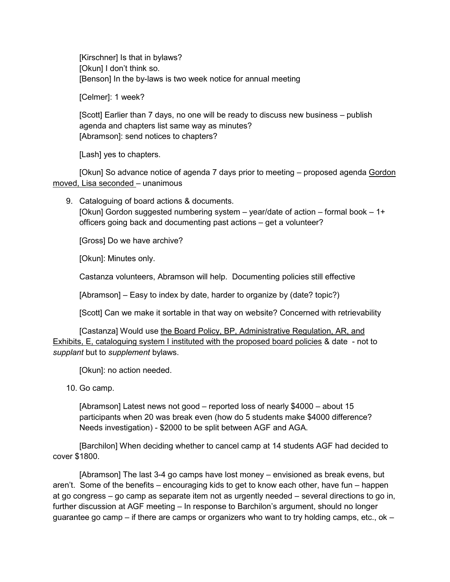[Kirschner] Is that in bylaws? [Okun] I don't think so. [Benson] In the by-laws is two week notice for annual meeting

[Celmer]: 1 week?

[Scott] Earlier than 7 days, no one will be ready to discuss new business – publish agenda and chapters list same way as minutes? [Abramson]: send notices to chapters?

[Lash] yes to chapters.

 [Okun] So advance notice of agenda 7 days prior to meeting – proposed agenda Gordon moved, Lisa seconded – unanimous

9. Cataloguing of board actions & documents. [Okun] Gordon suggested numbering system  $-$  year/date of action  $-$  formal book  $-1+$ officers going back and documenting past actions – get a volunteer?

[Gross] Do we have archive?

[Okun]: Minutes only.

Castanza volunteers, Abramson will help. Documenting policies still effective

[Abramson] – Easy to index by date, harder to organize by (date? topic?)

[Scott] Can we make it sortable in that way on website? Concerned with retrievability

[Castanza] Would use the Board Policy, BP, Administrative Regulation, AR, and Exhibits, E, cataloguing system I instituted with the proposed board policies & date - not to *supplant* but to *supplement* bylaws.

[Okun]: no action needed.

10. Go camp.

[Abramson] Latest news not good – reported loss of nearly \$4000 – about 15 participants when 20 was break even (how do 5 students make \$4000 difference? Needs investigation) - \$2000 to be split between AGF and AGA.

[Barchilon] When deciding whether to cancel camp at 14 students AGF had decided to cover \$1800.

[Abramson] The last 3-4 go camps have lost money – envisioned as break evens, but aren't. Some of the benefits – encouraging kids to get to know each other, have fun – happen at go congress – go camp as separate item not as urgently needed – several directions to go in, further discussion at AGF meeting – In response to Barchilon's argument, should no longer guarantee go camp – if there are camps or organizers who want to try holding camps, etc., ok  $-$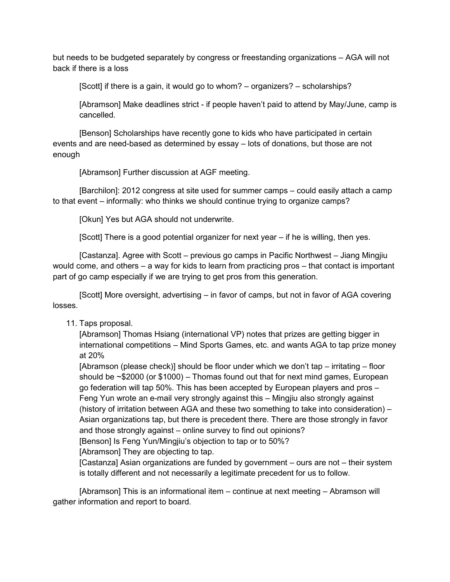but needs to be budgeted separately by congress or freestanding organizations – AGA will not back if there is a loss

[Scott] if there is a gain, it would go to whom? – organizers? – scholarships?

[Abramson] Make deadlines strict - if people haven't paid to attend by May/June, camp is cancelled.

[Benson] Scholarships have recently gone to kids who have participated in certain events and are need-based as determined by essay – lots of donations, but those are not enough

[Abramson] Further discussion at AGF meeting.

[Barchilon]: 2012 congress at site used for summer camps – could easily attach a camp to that event – informally: who thinks we should continue trying to organize camps?

[Okun] Yes but AGA should not underwrite.

[Scott] There is a good potential organizer for next year – if he is willing, then yes.

[Castanza]. Agree with Scott – previous go camps in Pacific Northwest – Jiang Mingjiu would come, and others – a way for kids to learn from practicing pros – that contact is important part of go camp especially if we are trying to get pros from this generation.

[Scott] More oversight, advertising – in favor of camps, but not in favor of AGA covering losses.

## 11. Taps proposal.

[Abramson] Thomas Hsiang (international VP) notes that prizes are getting bigger in international competitions – Mind Sports Games, etc. and wants AGA to tap prize money at 20%

[Abramson (please check)] should be floor under which we don't tap – irritating – floor should be  $\sim$  \$2000 (or \$1000) – Thomas found out that for next mind games, European go federation will tap 50%. This has been accepted by European players and pros – Feng Yun wrote an e-mail very strongly against this – Mingjiu also strongly against (history of irritation between AGA and these two something to take into consideration) – Asian organizations tap, but there is precedent there. There are those strongly in favor and those strongly against – online survey to find out opinions?

[Benson] Is Feng Yun/Mingjiu's objection to tap or to 50%?

[Abramson] They are objecting to tap.

[Castanza] Asian organizations are funded by government – ours are not – their system is totally different and not necessarily a legitimate precedent for us to follow.

[Abramson] This is an informational item – continue at next meeting – Abramson will gather information and report to board.